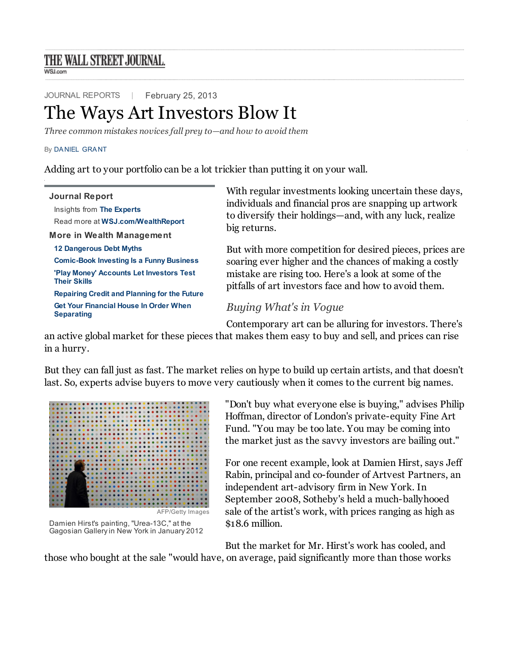# THE WALL STREET JOURNAL.

**WSJ.com** 

[JOURNAL REPORTS](http://clk.atdmt.com/goiframe/283287944/428265465/direct/01) | February 25, 2013

# T[he Ways Art In](http://online.wsj.com/public/resources/documents/Reprint_Samples.pdf)[vestors Blow](javascript:CopyrightPopUp();) [It](http://www.djreprints.com/)

*Three common mistakes novices fall prey to—and how to avoid them*

#### By DA NIEL GRA NT

Adding art to your portfolio can be a lot trickier than putting it on your wall.

| <b>Journal Report</b><br>Insights from The Experts<br>Read more at WSJ.com/WealthReport<br>More in Wealth Management | With regular investments looking uncertain these days,<br>individuals and financial pros are snapping up artwork<br>to diversify their holdings—and, with any luck, realize<br>big returns.                                         |
|----------------------------------------------------------------------------------------------------------------------|-------------------------------------------------------------------------------------------------------------------------------------------------------------------------------------------------------------------------------------|
| <b>12 Dangerous Debt Myths</b>                                                                                       | But with more competition for desired pieces, prices are<br>soaring ever higher and the chances of making a costly<br>mistake are rising too. Here's a look at some of the<br>pitfalls of art investors face and how to avoid them. |
| <b>Comic-Book Investing Is a Funny Business</b>                                                                      |                                                                                                                                                                                                                                     |
| 'Play Money' Accounts Let Investors Test<br><b>Their Skills</b>                                                      |                                                                                                                                                                                                                                     |
| <b>Repairing Credit and Planning for the Future</b>                                                                  |                                                                                                                                                                                                                                     |
| <b>Get Your Financial House In Order When</b><br><b>Separating</b>                                                   | Buying What's in Vogue                                                                                                                                                                                                              |
|                                                                                                                      | Contemporary art can be alluring for investors. There's                                                                                                                                                                             |

an [active global market for these piec](http://online.wsj.com/article/SB10001424127887324590904578289922686593606.html)es that makes them easy to buy and sell, and prices can rise in a hurry.

Bu[t they can fall just as fast. The mark](http://online.wsj.com/article/SB10001424127887324156204578276170308131626.html)et relies on hype to build up certain artists, and that doesn't las[t. So, experts advise buyers to m](http://online.wsj.com/article/SB10001424127887323829504578270052212529548.html)ove very cautiously when it comes to the current big names.



Damien Hirst's painting, "Urea-13C," at the Gagosian Gallery in New York in January 2012

"Don't buy what everyone else is buying," advises Philip Hoffman, director of London's private-equity Fine Art Fund. "You may be too late. You may be coming into the market just as the savvy investors are bailing out."

For one recent example, look at Damien Hirst, says Jeff Rabin, principal and co-founder of Artvest Partners, an independent art-advisory firm in New York. In September 2008, Sotheby's held a much-ballyhooed sale of the artist's work, with prices ranging as high as \$18.6 million.

But the market for Mr. Hirst's work has cooled, and

those who bought at the sale "would have, on average, paid significantly more than those works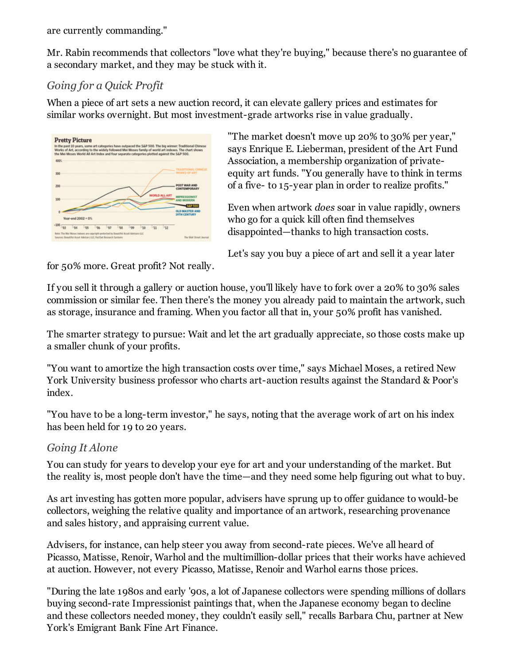are currently commanding."

Mr. Rabin recommends that collectors "love what they're buying," because there's no guarantee of a secondary market, and they may be stuck with it.

## *Going for a Quick Profit*

When a piece of art sets a new auction record, it can elevate gallery prices and estimates for similar works overnight. But most investment-grade artworks rise in value gradually.



"The market doesn't move up 20% to 30% per year," says Enrique E. Lieberman, president of the Art Fund Association, a membership organization of privateequity art funds. "You generally have to think in terms of a five- to 15-year plan in order to realize profits."

Even when artwork *does* soar in value rapidly, owners who go for a quick kill often find themselves disappointed—thanks to high transaction costs.

Let's say you buy a piece of art and sell it a year later

for 50% more. Great profit? Not really.

If you sell it through a gallery or auction house, you'll likely have to fork over a 20% to 30% sales commission or similar fee. Then there's the money you already paid to maintain the artwork, such as storage, insurance and framing. When you factor all that in, your 50% profit has vanished.

The smarter strategy to pursue: Wait and let the art gradually appreciate, so those costs make up a smaller chunk of your profits.

"You want to amortize the high transaction costs over time," says Michael Moses, a retired New York University business professor who charts art-auction results against the Standard & Poor's index.

"You have to be a long-term investor," he says, noting that the average work of art on his index has been held for 19 to 20 years.

### *Going It Alone*

You can study for years to develop your eye for art and your understanding of the market. But the reality is, most people don't have the time—and they need some help figuring out what to buy.

As art investing has gotten more popular, advisers have sprung up to offer guidance to would-be collectors, weighing the relative quality and importance of an artwork, researching provenance and sales history, and appraising current value.

Advisers, for instance, can help steer you away from second-rate pieces. We've all heard of Picasso, Matisse, Renoir, Warhol and the multimillion-dollar prices that their works have achieved at auction. However, not every Picasso, Matisse, Renoir and Warhol earns those prices.

"During the late 1980s and early '90s, a lot of Japanese collectors were spending millions of dollars buying second-rate Impressionist paintings that, when the Japanese economy began to decline and these collectors needed money, they couldn't easily sell," recalls Barbara Chu, partner at New York's Emigrant Bank Fine Art Finance.